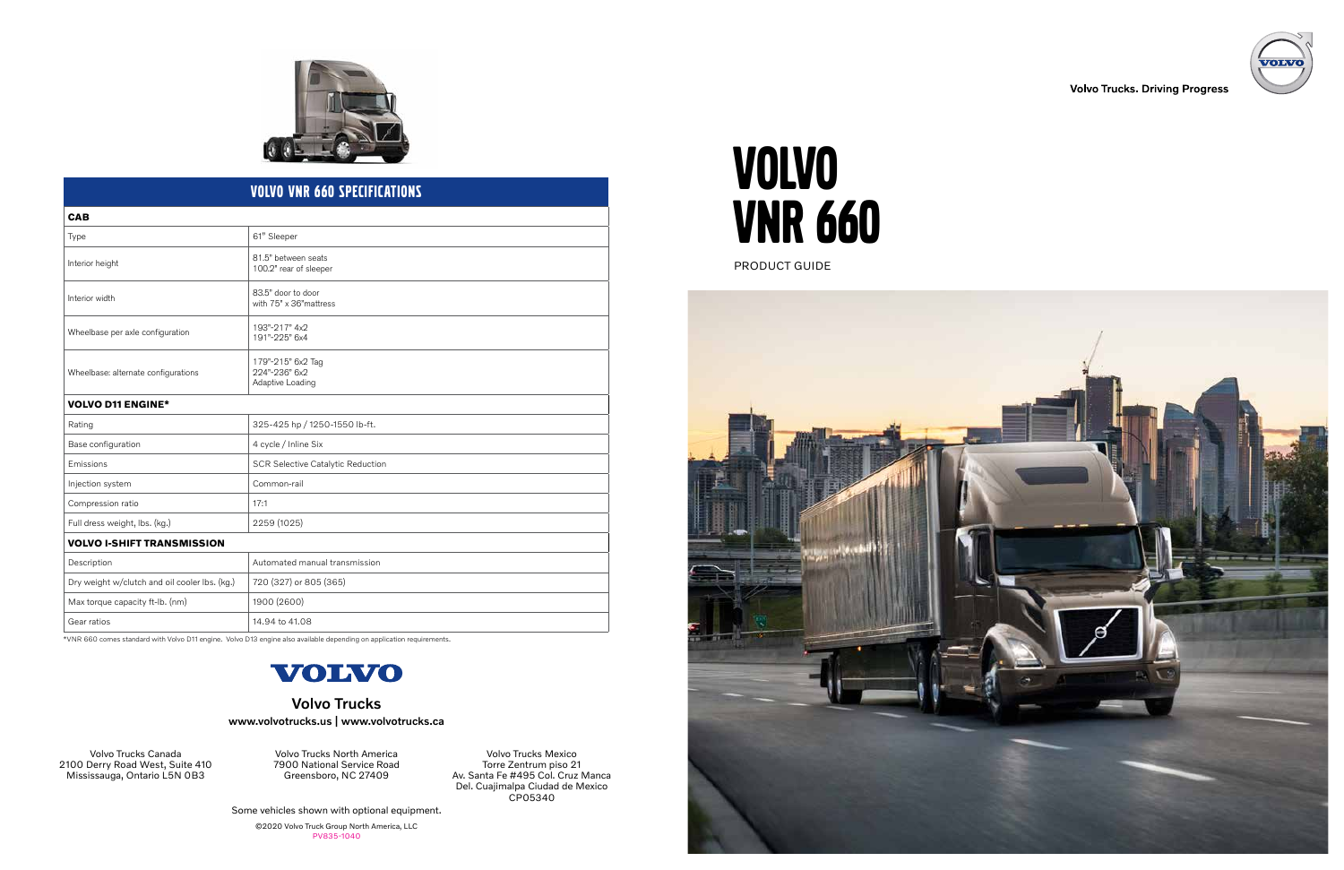# VOLVO VNR 660

PRODUCT GUIDE



Volvo Trucks Mexico Torre Zentrum piso 21 Av. Santa Fe #495 Col. Cruz Manca Del. Cuajimalpa Ciudad de Mexico CP05340

Some vehicles shown with optional equipment.

©2020 Volvo Truck Group North America, LLC PV835-1040



### **Volvo Trucks. Driving Progress**

Volvo Trucks North America 7900 National Service Road Greensboro, NC 27409

Volvo Trucks Canada 2100 Derry Road West, Suite 410 Mississauga, Ontario L5N 0B3

### Volvo Trucks www.volvotrucks.us | www.volvotrucks.ca



### Volvo VNR 660 Specifications

| <b>CAB</b>                                    |                                                        |
|-----------------------------------------------|--------------------------------------------------------|
| Type                                          | 61" Sleeper                                            |
| Interior height                               | 81.5" between seats<br>100.2" rear of sleeper          |
| Interior width                                | 83.5" door to door<br>with 75" x 36" mattress          |
| Wheelbase per axle configuration              | 193"-217" 4x2<br>191"-225" 6x4                         |
| Wheelbase: alternate configurations           | 179"-215" 6x2 Tag<br>224"-236" 6x2<br>Adaptive Loading |
| <b>VOLVO D11 ENGINE*</b>                      |                                                        |
| Rating                                        | 325-425 hp / 1250-1550 lb-ft.                          |
| Base configuration                            | 4 cycle / Inline Six                                   |
| Emissions                                     | <b>SCR Selective Catalytic Reduction</b>               |
| Injection system                              | Common-rail                                            |
| Compression ratio                             | 17:1                                                   |
| Full dress weight, lbs. (kg.)                 | 2259 (1025)                                            |
| <b>VOLVO I-SHIFT TRANSMISSION</b>             |                                                        |
| Description                                   | Automated manual transmission                          |
| Dry weight w/clutch and oil cooler lbs. (kg.) | 720 (327) or 805 (365)                                 |
| Max torque capacity ft-lb. (nm)               | 1900 (2600)                                            |
| Gear ratios                                   | 14.94 to 41.08                                         |

\*VNR 660 comes standard with Volvo D11 engine. Volvo D13 engine also available depending on application requirements.